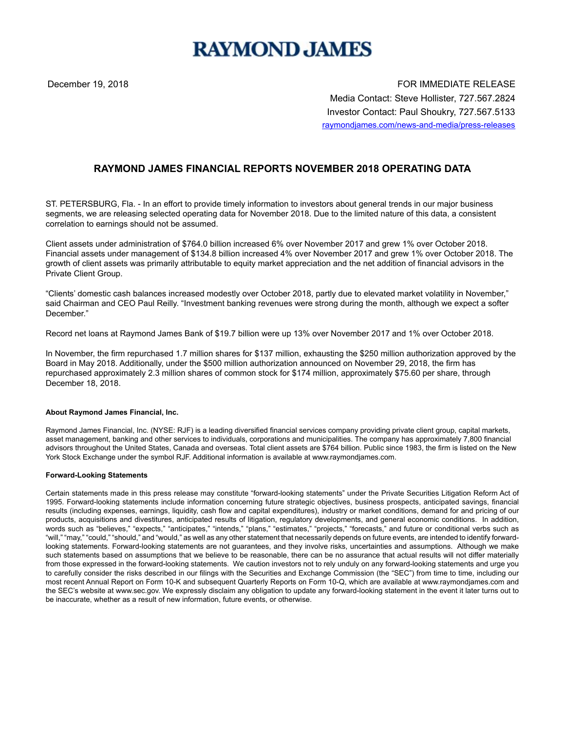# **RAYMOND JAMES**

December 19, 2018 FOR IMMEDIATE RELEASE Media Contact: Steve Hollister, 727.567.2824 Investor Contact: Paul Shoukry, 727.567.5133 raymondjames.com/news-and-media/press-releases

## **RAYMOND JAMES FINANCIAL REPORTS NOVEMBER 2018 OPERATING DATA**

ST. PETERSBURG, Fla. - In an effort to provide timely information to investors about general trends in our major business segments, we are releasing selected operating data for November 2018. Due to the limited nature of this data, a consistent correlation to earnings should not be assumed.

Client assets under administration of \$764.0 billion increased 6% over November 2017 and grew 1% over October 2018. Financial assets under management of \$134.8 billion increased 4% over November 2017 and grew 1% over October 2018. The growth of client assets was primarily attributable to equity market appreciation and the net addition of financial advisors in the Private Client Group.

"Clients' domestic cash balances increased modestly over October 2018, partly due to elevated market volatility in November," said Chairman and CEO Paul Reilly. "Investment banking revenues were strong during the month, although we expect a softer December."

Record net loans at Raymond James Bank of \$19.7 billion were up 13% over November 2017 and 1% over October 2018.

In November, the firm repurchased 1.7 million shares for \$137 million, exhausting the \$250 million authorization approved by the Board in May 2018. Additionally, under the \$500 million authorization announced on November 29, 2018, the firm has repurchased approximately 2.3 million shares of common stock for \$174 million, approximately \$75.60 per share, through December 18, 2018.

#### **About Raymond James Financial, Inc.**

Raymond James Financial, Inc. (NYSE: RJF) is a leading diversified financial services company providing private client group, capital markets, asset management, banking and other services to individuals, corporations and municipalities. The company has approximately 7,800 financial advisors throughout the United States, Canada and overseas. Total client assets are \$764 billion. Public since 1983, the firm is listed on the New York Stock Exchange under the symbol RJF. Additional information is available at www.raymondjames.com.

### **Forward-Looking Statements**

Certain statements made in this press release may constitute "forward-looking statements" under the Private Securities Litigation Reform Act of 1995. Forward-looking statements include information concerning future strategic objectives, business prospects, anticipated savings, financial results (including expenses, earnings, liquidity, cash flow and capital expenditures), industry or market conditions, demand for and pricing of our products, acquisitions and divestitures, anticipated results of litigation, regulatory developments, and general economic conditions. In addition, words such as "believes," "expects," "anticipates," "intends," "plans," "estimates," "projects," "forecasts," and future or conditional verbs such as "will," "may," "could," "should," and "would," as well as any other statement that necessarily depends on future events, are intended to identify forwardlooking statements. Forward-looking statements are not guarantees, and they involve risks, uncertainties and assumptions. Although we make such statements based on assumptions that we believe to be reasonable, there can be no assurance that actual results will not differ materially from those expressed in the forward-looking statements. We caution investors not to rely unduly on any forward-looking statements and urge you to carefully consider the risks described in our filings with the Securities and Exchange Commission (the "SEC") from time to time, including our most recent Annual Report on Form 10-K and subsequent Quarterly Reports on Form 10-Q, which are available at www.raymondjames.com and the SEC's website at www.sec.gov. We expressly disclaim any obligation to update any forward-looking statement in the event it later turns out to be inaccurate, whether as a result of new information, future events, or otherwise.